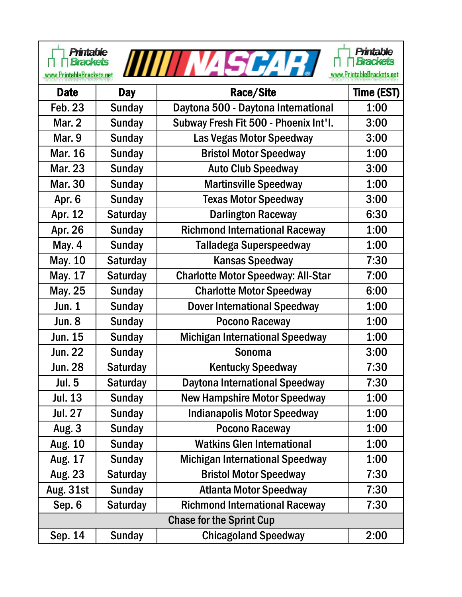| <b>Printable</b><br><b>Printable</b><br>517 I SI<br><b>Brackets</b><br><b>Brackets</b><br>PrintableBrackets.net<br>www.PrintableBrackets.net |                 |                                           |            |  |  |
|----------------------------------------------------------------------------------------------------------------------------------------------|-----------------|-------------------------------------------|------------|--|--|
| <b>Date</b>                                                                                                                                  | <b>Day</b>      | Race/Site                                 | Time (EST) |  |  |
| <b>Feb. 23</b>                                                                                                                               | <b>Sunday</b>   | Daytona 500 - Daytona International       | 1:00       |  |  |
| <b>Mar. 2</b>                                                                                                                                | <b>Sunday</b>   | Subway Fresh Fit 500 - Phoenix Int'l.     | 3:00       |  |  |
| Mar. 9                                                                                                                                       | <b>Sunday</b>   | Las Vegas Motor Speedway                  | 3:00       |  |  |
| <b>Mar. 16</b>                                                                                                                               | <b>Sunday</b>   | <b>Bristol Motor Speedway</b>             | 1:00       |  |  |
| <b>Mar. 23</b>                                                                                                                               | <b>Sunday</b>   | <b>Auto Club Speedway</b>                 | 3:00       |  |  |
| <b>Mar. 30</b>                                                                                                                               | <b>Sunday</b>   | <b>Martinsville Speedway</b>              | 1:00       |  |  |
| Apr. 6                                                                                                                                       | <b>Sunday</b>   | <b>Texas Motor Speedway</b>               | 3:00       |  |  |
| Apr. 12                                                                                                                                      | <b>Saturday</b> | <b>Darlington Raceway</b>                 | 6:30       |  |  |
| Apr. 26                                                                                                                                      | <b>Sunday</b>   | <b>Richmond International Raceway</b>     | 1:00       |  |  |
| <b>May. 4</b>                                                                                                                                | <b>Sunday</b>   | Talladega Superspeedway                   | 1:00       |  |  |
| <b>May. 10</b>                                                                                                                               | <b>Saturday</b> | <b>Kansas Speedway</b>                    | 7:30       |  |  |
| May. 17                                                                                                                                      | <b>Saturday</b> | <b>Charlotte Motor Speedway: All-Star</b> | 7:00       |  |  |
| May. 25                                                                                                                                      | <b>Sunday</b>   | <b>Charlotte Motor Speedway</b>           | 6:00       |  |  |
| <b>Jun. 1</b>                                                                                                                                | <b>Sunday</b>   | <b>Dover International Speedway</b>       | 1:00       |  |  |
| <b>Jun. 8</b>                                                                                                                                | <b>Sunday</b>   | <b>Pocono Raceway</b>                     | 1:00       |  |  |
| Jun. 15                                                                                                                                      | <b>Sunday</b>   | <b>Michigan International Speedway</b>    | 1:00       |  |  |
| Jun. 22                                                                                                                                      | <b>Sunday</b>   | <b>Sonoma</b>                             | 3:00       |  |  |
| <b>Jun. 28</b>                                                                                                                               | <b>Saturday</b> | <b>Kentucky Speedway</b>                  | 7:30       |  |  |
| <b>Jul. 5</b>                                                                                                                                | <b>Saturday</b> | Daytona International Speedway            | 7:30       |  |  |
| Jul. 13                                                                                                                                      | <b>Sunday</b>   | <b>New Hampshire Motor Speedway</b>       | 1:00       |  |  |
| <b>Jul. 27</b>                                                                                                                               | <b>Sunday</b>   | <b>Indianapolis Motor Speedway</b>        | 1:00       |  |  |
| <b>Aug. 3</b>                                                                                                                                | <b>Sunday</b>   | <b>Pocono Raceway</b>                     | 1:00       |  |  |
| <b>Aug. 10</b>                                                                                                                               | <b>Sunday</b>   | <b>Watkins Glen International</b>         | 1:00       |  |  |
| Aug. 17                                                                                                                                      | <b>Sunday</b>   | <b>Michigan International Speedway</b>    | 1:00       |  |  |
| Aug. 23                                                                                                                                      | <b>Saturday</b> | <b>Bristol Motor Speedway</b>             | 7:30       |  |  |
| <b>Aug. 31st</b>                                                                                                                             | <b>Sunday</b>   | <b>Atlanta Motor Speedway</b>             | 7:30       |  |  |
| Sep. 6                                                                                                                                       | <b>Saturday</b> | <b>Richmond International Raceway</b>     | 7:30       |  |  |
| <b>Chase for the Sprint Cup</b>                                                                                                              |                 |                                           |            |  |  |
| Sep. 14                                                                                                                                      | <b>Sunday</b>   | <b>Chicagoland Speedway</b>               | 2:00       |  |  |